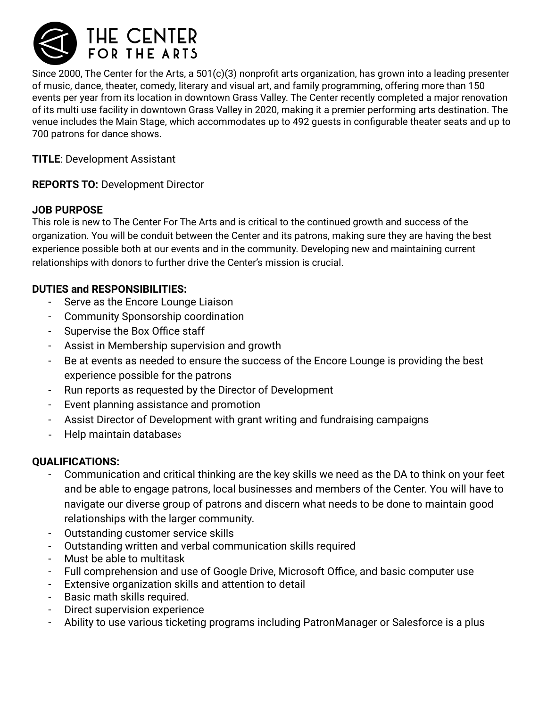

Since 2000, The Center for the Arts, a 501(c)(3) nonprofit arts organization, has grown into a leading presenter of music, dance, theater, comedy, literary and visual art, and family programming, offering more than 150 events per year from its location in downtown Grass Valley. The Center recently completed a major renovation of its multi use facility in downtown Grass Valley in 2020, making it a premier performing arts destination. The venue includes the Main Stage, which accommodates up to 492 guests in configurable theater seats and up to 700 patrons for dance shows.

**TITLE**: Development Assistant

## **REPORTS TO:** Development Director

## **JOB PURPOSE**

This role is new to The Center For The Arts and is critical to the continued growth and success of the organization. You will be conduit between the Center and its patrons, making sure they are having the best experience possible both at our events and in the community. Developing new and maintaining current relationships with donors to further drive the Center's mission is crucial.

# **DUTIES and RESPONSIBILITIES:**

- Serve as the Encore Lounge Liaison
- Community Sponsorship coordination
- Supervise the Box Office staff
- Assist in Membership supervision and growth
- Be at events as needed to ensure the success of the Encore Lounge is providing the best experience possible for the patrons
- Run reports as requested by the Director of Development
- Event planning assistance and promotion
- Assist Director of Development with grant writing and fundraising campaigns
- Help maintain databases

### **QUALIFICATIONS:**

- Communication and critical thinking are the key skills we need as the DA to think on your feet and be able to engage patrons, local businesses and members of the Center. You will have to navigate our diverse group of patrons and discern what needs to be done to maintain good relationships with the larger community.
- Outstanding customer service skills
- Outstanding written and verbal communication skills required
- Must be able to multitask
- Full comprehension and use of Google Drive, Microsoft Office, and basic computer use
- Extensive organization skills and attention to detail
- Basic math skills required.
- Direct supervision experience
- Ability to use various ticketing programs including PatronManager or Salesforce is a plus